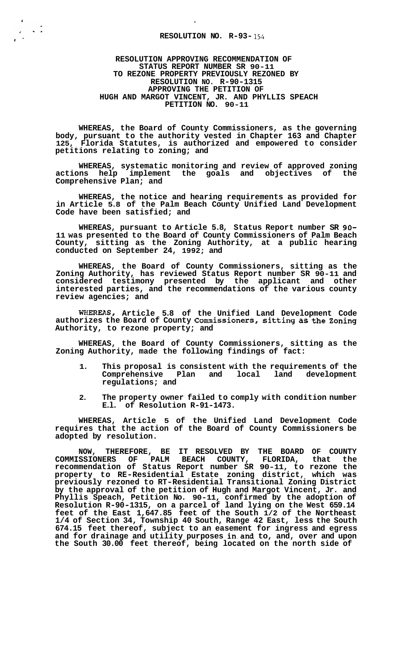## **RESOLUTION NO. R-93-154**

 $\frac{1}{2}$ 

**RESOLUTION APPROVING RECOMMENDATION OF STATUS REPORT NUMBER SR 90-11 TO REZONE PROPERTY PREVIOUSLY REZONED BY RESOLUTION NO. R-90-1315 APPROVING THE PETITION OF PETITION NO. 90-11 HUGH AND MARGOT VINCENT, JR. AND PHYLLIS SPEACH** 

**WHEREAS, the Board of County Commissioners, as the governing body, pursuant to the authority vested in Chapter 163 and Chapter 125, Florida Statutes, is authorized and empowered to consider petitions relating to zoning; and** 

**WHEREAS, systematic monitoring and review of approved zoning actions help implement the goals and objectives of the Comprehensive Plan; and** 

**WHEREAS, the notice and hearing requirements as provided for in Article 5.8 of the Palm Beach County Unified Land Development Code have been satisfied; and** 

**WHEREAS, pursuant to Article 5.8, Status Report number SR 90- 11 was presented to the Board of County Commissioners of Palm Beach County, sitting as the Zoning Authority, at a public hearing conducted on September 24, 1992; and** 

**WHEREAS, the Board of County Commissioners, sitting as the Zoning Authority, has reviewed Status Report number SR 90-11 and considered testimony presented by the applicant and other interested parties, and the recommendations of the various county review agencies; and** 

**WHEREAS, Article 5.8 of the Unified Land Development Code authorizes the Board of County Commissioners, sitting as the Zoning Authority, to rezone property; and** 

**WHEREAS, the Board of County Commissioners, sitting as the Zoning Authority, made the following findings of fact:** 

- **1. This proposal is consistent with the requirements of the**  Comprehensive Plan and local land **regulations; and**
- **2. The property owner failed to comply with condition number E.l. of Resolution R-91-1473.**

**WHEREAS, Article 5 of the Unified Land Development Code requires that the action of the Board of County Commissioners be adopted by resolution.** 

**NOW, THEREFORE, BE IT RESOLVED BY THE BOARD OF COUNTY COMMISSIONERS OF PALM BEACH COUNTY, FLORIDA, that the recommendation of Status Report number SR 90-11, to rezone the property to RE-Residential Estate zoning district, which was previously rezoned to RT-Residential Transitional Zoning District by the approval of the petition of Hugh and Margot Vincent, Jr. and Phyllis Speach, Petition No. 90-11, confirmed by the adoption of Resolution R-90-1315, on a parcel of land lying on the West 659.14 feet of the East 1,647.85 feet of the South 1/2 of the Northeast 1/4 of Section 34, Township 40 South, Range 42 East, less the South 674.15 feet thereof, subject to an easement for ingress and egress and for drainage and utility purposes in.and to, and, over and upon the South 30.00 feet thereof, being located on the north side of**